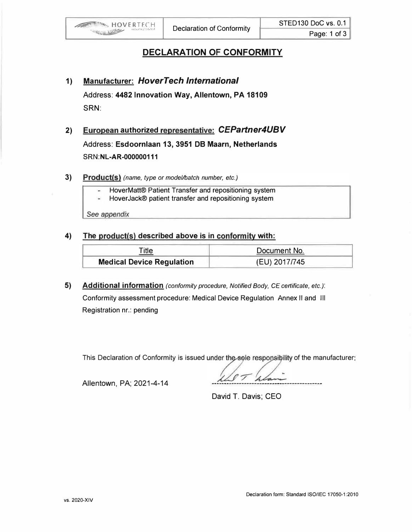

## DECLARATION OF CONFORMITY

1) Manufacturer: HoverTech International

Address: 4482 Innovation Way, Allentown, PA 18109 SRN:

2) European authorized representative: CEPartner4UBV

Address: Esdoornlaan 13, 3951 DB Maarn, Netherlands SRN:NL-AR-000000111

- 3) Product(s) (name, type or model/batch number, etc.)
	- HoverMatt® Patient Transfer and repositioning system ù,
	- Hover Jack® patient transfer and repositioning system ¥,

See appendix

4) The product(s) described above is in conformity with:

| <b>Title</b>                     | Document No.  |
|----------------------------------|---------------|
| <b>Medical Device Regulation</b> | (EU) 2017/745 |

5) Additional information (conformity procedure, Notified Body, CE certificate, etc.): Conformity assessment procedure: Medical Device Regulation Annex II and Ill Registration nr.: pending

This Declaration of Conformity is issued under the sole responsibility of the manufacturer:<br> $\sqrt{\sqrt{2\pi}}$ 

Allentown, PA; 2021-4-14

David T. Davis; CEO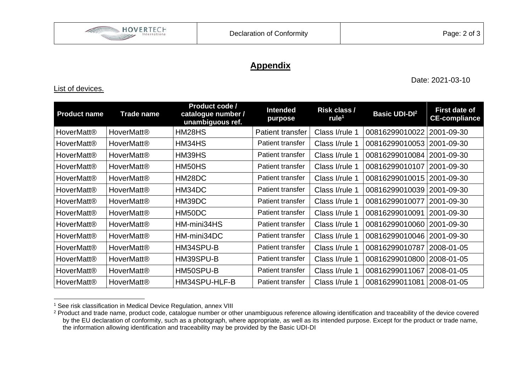## **Appendix**

## List of devices.

| <b>Product name</b> | <b>Trade name</b> | Product code /<br>catalogue number /<br>unambiguous ref. | <b>Intended</b><br>purpose | Risk class /<br>rule <sup>1</sup> | <b>Basic UDI-DI</b> <sup>2</sup> | <b>First date of</b><br><b>CE-compliance</b> |
|---------------------|-------------------|----------------------------------------------------------|----------------------------|-----------------------------------|----------------------------------|----------------------------------------------|
| <b>HoverMatt®</b>   | <b>HoverMatt®</b> | HM28HS                                                   | <b>Patient transfer</b>    | Class I/rule 1                    | 00816299010022                   | 2001-09-30                                   |
| <b>HoverMatt®</b>   | <b>HoverMatt®</b> | HM34HS                                                   | Patient transfer           | Class I/rule 1                    | 008162990100531                  | 2001-09-30                                   |
| <b>HoverMatt®</b>   | <b>HoverMatt®</b> | HM39HS                                                   | Patient transfer           | Class I/rule 1                    | 00816299010084                   | 2001-09-30                                   |
| <b>HoverMatt®</b>   | <b>HoverMatt®</b> | HM50HS                                                   | Patient transfer           | Class I/rule 1                    | 00816299010107                   | 2001-09-30                                   |
| <b>HoverMatt®</b>   | <b>HoverMatt®</b> | HM28DC                                                   | Patient transfer           | Class I/rule 1                    | 00816299010015                   | 2001-09-30                                   |
| <b>HoverMatt®</b>   | <b>HoverMatt®</b> | HM34DC                                                   | <b>Patient transfer</b>    | Class I/rule 1                    | 00816299010039                   | 2001-09-30                                   |
| <b>HoverMatt®</b>   | <b>HoverMatt®</b> | HM39DC                                                   | Patient transfer           | Class I/rule 1                    | 00816299010077                   | 2001-09-30                                   |
| <b>HoverMatt®</b>   | <b>HoverMatt®</b> | HM50DC                                                   | Patient transfer           | Class I/rule 1                    | 00816299010091                   | 2001-09-30                                   |
| <b>HoverMatt®</b>   | <b>HoverMatt®</b> | HM-mini34HS                                              | Patient transfer           | Class I/rule 1                    | 00816299010060                   | 2001-09-30                                   |
| <b>HoverMatt®</b>   | <b>HoverMatt®</b> | HM-mini34DC                                              | Patient transfer           | Class I/rule 1                    | 00816299010046                   | 2001-09-30                                   |
| <b>HoverMatt®</b>   | <b>HoverMatt®</b> | HM34SPU-B                                                | Patient transfer           | Class I/rule 1                    | 00816299010787                   | 2008-01-05                                   |
| <b>HoverMatt®</b>   | <b>HoverMatt®</b> | HM39SPU-B                                                | Patient transfer           | Class I/rule 1                    | 00816299010800                   | 2008-01-05                                   |
| <b>HoverMatt®</b>   | <b>HoverMatt®</b> | HM50SPU-B                                                | Patient transfer           | Class I/rule 1                    | 00816299011067                   | 2008-01-05                                   |
| <b>HoverMatt®</b>   | <b>HoverMatt®</b> | HM34SPU-HLF-B                                            | Patient transfer           | Class I/rule 1                    | 00816299011081                   | 2008-01-05                                   |

<sup>&</sup>lt;sup>1</sup> See risk classification in Medical Device Regulation, annex VIII

Date: 2021-03-10

<sup>&</sup>lt;sup>2</sup> Product and trade name, product code, catalogue number or other unambiguous reference allowing identification and traceability of the device covered by the EU declaration of conformity, such as a photograph, where appropriate, as well as its intended purpose. Except for the product or trade name, the information allowing identification and traceability may be provided by the Basic UDI-DI